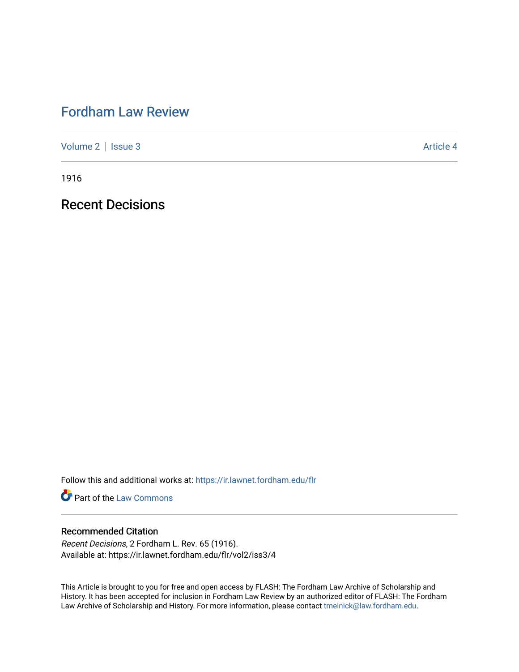# [Fordham Law Review](https://ir.lawnet.fordham.edu/flr)

[Volume 2](https://ir.lawnet.fordham.edu/flr/vol2) | [Issue 3](https://ir.lawnet.fordham.edu/flr/vol2/iss3) Article 4

1916

Recent Decisions

Follow this and additional works at: [https://ir.lawnet.fordham.edu/flr](https://ir.lawnet.fordham.edu/flr?utm_source=ir.lawnet.fordham.edu%2Fflr%2Fvol2%2Fiss3%2F4&utm_medium=PDF&utm_campaign=PDFCoverPages)

**Part of the [Law Commons](http://network.bepress.com/hgg/discipline/578?utm_source=ir.lawnet.fordham.edu%2Fflr%2Fvol2%2Fiss3%2F4&utm_medium=PDF&utm_campaign=PDFCoverPages)** 

### Recommended Citation

Recent Decisions, 2 Fordham L. Rev. 65 (1916). Available at: https://ir.lawnet.fordham.edu/flr/vol2/iss3/4

This Article is brought to you for free and open access by FLASH: The Fordham Law Archive of Scholarship and History. It has been accepted for inclusion in Fordham Law Review by an authorized editor of FLASH: The Fordham Law Archive of Scholarship and History. For more information, please contact [tmelnick@law.fordham.edu](mailto:tmelnick@law.fordham.edu).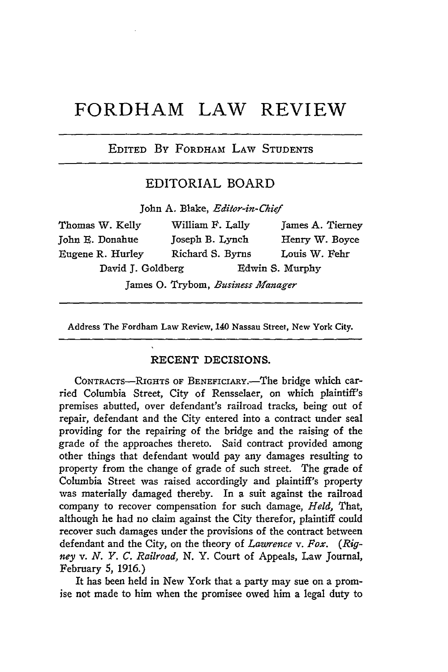## **FORDHAM LAW REVIEW**

#### EDITED *By* FORDHAM LAW STUDENTS

#### EDITORIAL BOARD

John A. Blake, *Editor-in-Chief*

| Thomas W. Kelly   | William F. Lally | James A. Tierney |
|-------------------|------------------|------------------|
| John E. Donahue   | Joseph B. Lynch  | Henry W. Boyce   |
| Eugene R. Hurley  | Richard S. Byrns | Louis W. Fehr    |
| David J. Goldberg |                  | Edwin S. Murphy  |
|                   |                  |                  |

James **0.** Trybom, *Business Manager*

Address The Fordham Law Review, 140 Nassau Street, New York City.

#### **RECENT** DECISIONS.

CONTRACTS-RIGHTS OF BENEFICIARY.-The bridge which carried Columbia Street, City of Rensselaer, on which plaintiff's premises abutted, over defendant's railroad tracks, being out of repair, defendant and the City entered into a contract under seal providing for the repairing of the bridge and the raising of the grade of the approaches thereto. Said contract provided among other things that defendant would pay any damages resulting to property from the change of grade of such street. The grade of Columbia Street was raised accordingly and plaintiff's property was materially damaged thereby. In a suit against the railroad company to recover compensation for such damage, *Held,* That, although he had no claim against the City therefor, plaintiff could recover such damages under the provisions of the contract between defendant and the City, on the theory of *Lawrence v. Fox. (Rigney v. N. Y. C. Railroad,* N. Y. Court of Appeals, Law journal, February *5,* 1916.)

It has been held in New York that a party may sue on a promise not made to him when the promisee owed him a legal duty to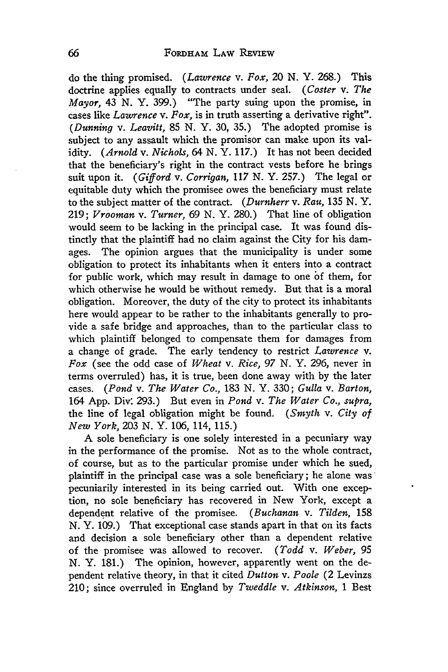do the thing promised. (Lawrence *v. Fox,* 20 N. Y. 268.) This doctrine applies equally to contracts under seal. *(Coster v. The Mayor,* 43 **N.** Y. 399.) "The party suing upon the promise, in cases like *Lawrence v. Fox,* is in truth asserting a derivative right". *(Dunning v. Leavitt,* 85 N. Y. 30, 35.) The adopted promise is subject to any assault which the promisor can make upon its validity. *(Arnold v. Nichols,* 64 **N.** Y. 117.) It has not been decided that the beneficiary's right in the contract vests before he brings suit upon it. *(Gifford v. Corrigan, 117* **N.** Y. **257.)** The legal or equitable duty which the promisee owes the beneficiary must relate to the subject matter of the contract. *(Durnherr v. Rau,* 135 N. Y. 219; *Vrooman v. Turner,* 69 **N.** Y. 280.) That line of obligation would seem to be lacking in the principal case. It was found distinctly that the plaintiff had no claim against the City for his damages. The opinion argues that the municipality is under some obligation to protect its inhabitants when it enters into a contract for public work, which may result in damage to one of them, for which otherwise he would be without remedy. But that is a moral obligation. Moreover, the duty of the city to protect its inhabitants here would appear to be rather to the inhabitants generally to provide a safe bridge and approaches, than to the particular class to which plaintiff belonged to compensate them for damages from a change of grade. The early tendency to restrict *Lawrence v. Fox* (see the odd case of *Wheat v. Rice, 97* **N.** Y. 296, never in terms overruled) has, it is true, been done away with by the later cases. *(Pond v. The Water Co.,* 183 N. Y. 330; *Gulla v. Barton,* 164 App. Div: 293.) But even in *Pond v. The Water Co., supra,* the line of legal obligation might be found. *(Smyth v. City of New York,* 203 N. Y. 106, 114, 115.)

A sole beneficiary is one solely interested in a pecuniary way in the performance of the promise. Not as to the whole contract, of course, but as to the particular promise under which he sued, plaintiff in the principal case was a sole beneficiary; he alone was' pecuniarily interested in its being carried out. With one exception, no sole beneficiary has recovered in New York, except a dependent relative of the promisee. *(Buchanan v. Tilden,* 158 N. Y. 109.) That exceptional case stands apart in that on its facts and decision a sole beneficiary other than a dependent relative of the promisee was allowed to recover. *(Todd v. Weber, 95* N. Y. 181.) The opinion, however, apparently went on the dependent relative theory, in that it cited *Dutton v. Poole* (2 Levinzs 210; since overruled in England by *Tweddle v. Atkinson,* 1 Best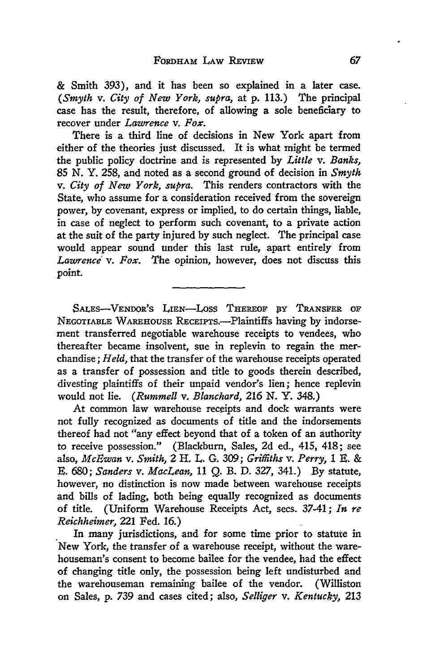& Smith **393),** and it has been so explained in a later case. *(Smyth v. City of New York, supra,* at **p.** 113.) The principal case has the result, therefore, of allowing a sole beneficiary to recover under *Lawrence v. Fox.*

There is a third line of decisions in New York apart from either of the theories just discussed. It is what might be termed the public policy doctrine and is represented **by** *Little v. Banks,* **85** *N.* Y. **258,** and noted as a second ground of decision in *Smyth v. City of New York, supra.* This renders contractors with the State, who assume for a consideration received from the sovereign power, **by** covenant, express or implied, to do certain things, liable, in case of neglect to perform such covenant, to a private action at the suit of the party injured **by** such neglect. The principal case would appear sound under this last rule, apart entirely from *Lawrence v. Fox.* The opinion, however, does not discuss this point.

SALES-VENDOR'S LIEN-LOSS THEREOF BY TRANSFER OF NEGOTIABLE WAREHOUSE RECEIPTS.--Plaintiffs having by indorsement transferred negotiable warehouse receipts to vendees, who thereafter became insolvent, sue in replevin to regain the merchandise; *Held,* that the transfer of the warehouse receipts operated as a transfer of possession and title to goods therein described, divesting plaintiffs of their unpaid vendor's lien; hence replevin would not lie. *(Rummell v. Blanchard,* **216 N.** Y. 348.)

At common law warehouse receipts and dock warrants were not fully recognized as documents of title and the indorsements thereof had not "any effect beyond that of a token of an authority to receive possession." (Blackburn, Sales, **2d** ed., 415, 418; see also, *McEwan v. Smith,* 2 H. L. **G.** 309; *Griffiths v. Perry, 1 E.* **& E.** *680; Sanders v. MacLean,* **11 Q.** B. D. 327, 341.) **By** statute, however, no distinction is now made between warehouse receipts and bills of lading, both being equally recognized as documents of title. (Uniform Warehouse Receipts Act, secs. 37-41; *In re Reichheimer,* 221 Fed. 16.)

In many jurisdictions, and for some time prior to statute in New York, the transfer of a warehouse receipt, without the warehouseman's consent to become bailee for the vendee, had the effect of changing title only, the possession being left undisturbed and the warehouseman remaining bailee of the vendor. (Williston on Sales, p. 739 and cases cited; also, *Selliger v. Kentucky,* **213**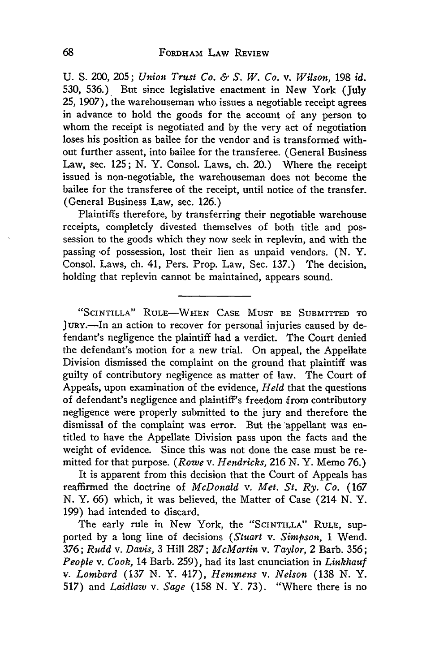**U. S.** 200, 205; *Union Trust Co. & S. W. Co. v. Wilson,* **198** *id.* 530, 536.) But since legislative enactment in New York (July 25, 1907), the warehouseman who issues a negotiable receipt agrees in advance to hold the goods for the account of any person to whom the receipt is negotiated and by the very act of negotiation loses his position as bailee for the vendor and is transformed without further assent, into bailee for the transferee. (General Business Law, sec. 125; N. Y. Consol. Laws, ch. 20.) Where the receipt issued is non-negotiable, the warehouseman does not become the bailee for the transferee of the receipt, until notice of the transfer. (General Business Law, sec. 126.)

Plaintiffs therefore, by transferring their negotiable warehouse receipts, completely divested themselves of both title and possession to the goods which they now seek in replevin, and with the passing of possession, lost their lien as unpaid vendors. (N. Y. Consol. Laws, ch. 41, Pers. Prop. Law, Sec. 137.) The decision, holding that replevin cannot be maintained, appears sound.

**"SCINTILLA" RULE-WHEN CASE** MUST **BE** SUBMITTED TO JURY.-In an action to recover for personal injuries caused by defendant's negligence the plaintiff had a verdict. The Court denied the defendant's motion for a new trial. On appeal, the Appellate Division dismissed the complaint on the ground that plaintiff was guilty of contributory negligence as matter of law. The Court of Appeals, upon examination of the evidence, *Held* that the questions of defendant's negligence and plaintiff's freedom from contributory negligence were properly submitted to the jury and therefore the dismissal of the complaint was error. But the appellant was entitled to have the Appellate Division pass upon the facts and the weight of evidence. Since this was not done the case must be remitted for that purpose. *(Rowe v. Hendricks,* 216 N. Y. Memo 76.)

It is apparent from this decision that the Court of Appeals has reaffirmed the doctrine of *McDonald v. Met. St. Ry. Co.* (167 N. Y. 66) which, it was believed, the Matter of Case (214 N. Y. 199) had intended to discard.

The early rule in New York, the **"SCINTILLA"** RULE, supported by a long line of decisions *(Stuart v. Simpson, 1* Wend. 376; *Rudd v. Davis,* 3 Hill 287; *McMartin v. Taylor,* 2 Barb. 356; *People v.* Cook, 14 Barb. 259), had its last enunciation in *Linkhauf* v. *Lombard* (137 N. Y. 417), *Hemmens v. Nelson* (138 N. Y. 517) and *Laidlaw v.* Sage (158 N. Y. 73). "Where there is no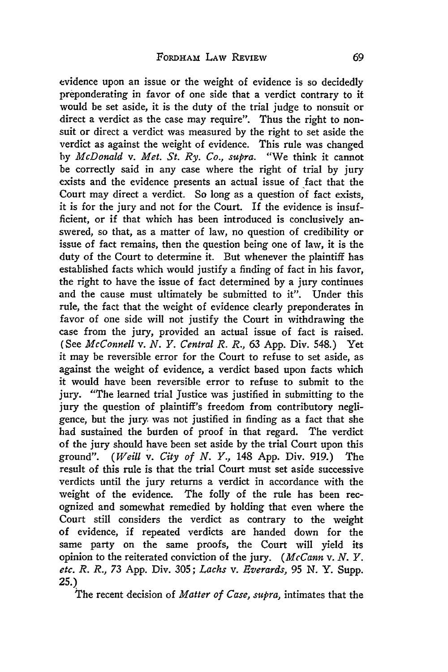evidence upon an issue or the weight of evidence is so decidedly preponderating in favor of one side that a verdict contrary to it would be set aside, it is the duty of the trial judge to nonsuit or direct a verdict as the case may require". Thus the right to nonsuit or direct a verdict was measured **by** the right to set aside the verdict as against the weight of evidence. This rule was changed **by** *McDonald v. Met. St. Ry. Co., supra.* "We think it cannot be correctly said in any case where the right of trial **by** jury exists and the evidence presents an actual issue of fact that the Court may direct a verdict. So long as a question of fact exists, it is for the jury and not for the Court. If the evidence is insufficient, or if that which has been introduced is conclusively answered, so that, as a matter of law, no question of credibility or issue of fact remains, then the question being one of law, it is the duty of the Court to determine it. But whenever the plaintiff has established facts which would justify a finding of fact in his favor, the right to have the issue of fact determined **by** a jury continues and the cause must ultimately be submitted to it". Under this rule, the fact that the weight of evidence clearly preponderates in favor of one side will not justify the Court in withdrawing the case from the jury, provided an actual issue of fact is raised. (See *McConnell v. N. Y. Central R. R.,* 63 **App.** Div. 548.) Yet it may be reversible error for the Court to refuse to set aside, as against the weight of evidence, a verdict based upon facts which it would have been reversible error to refuse to submit to the jury. "The learned trial Justice was justified in submitting to the jury the question of plaintiff's freedom from contributory negligence, but the jury was not justified in finding as a fact that she had sustained the burden of proof in that regard. The verdict of the jury should have been set aside **by** the trial Court upon this ground". *(Weill v. City of N. Y.,* 148 App. Div. 919.) The result of this rule is that the trial Court must set aside successive verdicts until the jury returns a verdict in accordance with the weight of the evidence. The folly of the rule has been recognized and somewhat remedied **by** holding that even where the Court still considers the verdict as contrary to the weight of evidence, if repeated verdicts are handed down for the same party on the same proofs, the Court will yield its opinion to the reiterated conviction of the jury. *(McCann v. N. Y. etc. R. R., 73* **App.** Div. 305; *Lachs v. Everards,* **95 N.** Y. Supp. **25.)**

The recent decision of *Matter of Case, supra,* intimates that the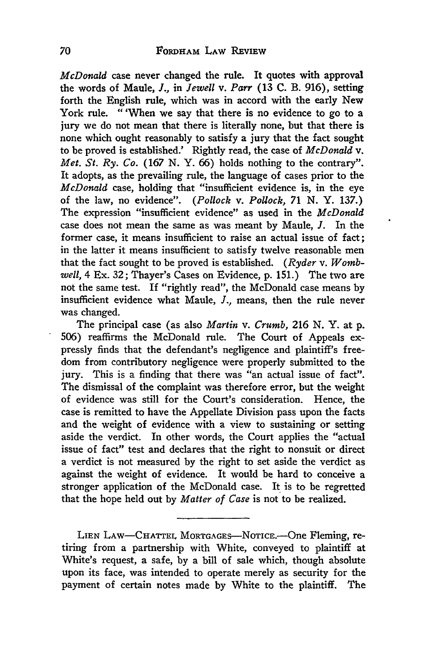*McDonald* case never changed the rule. It quotes with approval the words of Maule, *J.,* in *Jewell* v. *Parr* **(13 C.** B. **916),** setting forth the English rule, which was in accord with the early New York rule. "'When we say that there is no evidence to go to a jury we do not mean that there is literally none, but that there is none which ought reasonably to satisfy a jury that the fact sought to be proved is established.' Rightly read, the case of *McDonald v. Met. St. Ry. Co.* (167 **N.** Y. **66)** holds nothing to the contrary". It adopts, as the prevailing rule, the language of cases prior to the *McDonald* case, holding that "insufficient evidence is, in the eye of the law, no evidence". *(Pollock v. Pollock, 71* **N.** Y. **137.)** The expression "insufficient evidence" as used in the *McDonald* case does not mean the same as was meant **by** Maule, *J.* In the former case, it means insufficient to raise an actual issue of fact; in the latter it means insufficient to satisfy twelve reasonable men that the fact sought to be proved is established. *(Ryder v. Wombwell,* 4 Ex. **32;** Thayer's Cases on Evidence, **p. 151.)** The two are not the same test. If "rightly read", the McDonald case means **by** insufficient evidence what Maule, *J.,* means, then the rule never was changed.

The principal case (as also *Martin v. Crumb,* **216 N.** Y. at **p. 506)** reaffirms the McDonald rule. The Court of Appeals expressly finds that the defendant's negligence and plaintiff's freedom from contributory negligence were properly submitted to the jury. This is a finding that there was "an actual issue of fact". The dismissal of the complaint was therefore error, but the weight of evidence was still for the Court's consideration. Hence, the case is remitted to have the Appellate Division pass upon the facts and the weight of evidence with a view to sustaining or setting aside the verdict. In other words, the Court applies the "actual issue of fact" test and declares that the right to nonsuit or direct a verdict is not measured **by** the right to set aside the verdict as against the weight of evidence. It would be hard to conceive a stronger application of the McDonald case. It is to be regretted that the hope held out **by** *Matter of Case* is not to be realized.

LIEN LAW-CHATTEL MORTGAGES-NOTICE.-One Fleming, retiring from a partnership with White, conveyed to plaintiff at White's request, a safe, by a bill of sale which, though absolute upon its face, was intended to operate merely as security for the payment of certain notes made by White to the plaintiff. The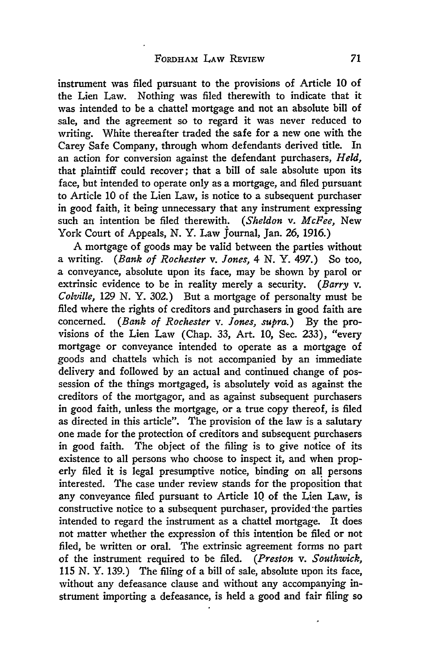instrument was filed pursuant to the provisions of Article **10** of the Lien Law. Nothing was filed therewith to indicate that it was intended to be a chattel mortgage and not an absolute bill of sale, and the agreement so to regard it was never reduced to writing. White thereafter traded the safe for a new one with the Carey Safe Company, through whom defendants derived title. In an action for conversion against the defendant purchasers, *Held,* that plaintiff could recover; that a bill of sale absolute upon its face, but intended to operate only as a mortgage, and filed pursuant to Article 10 of the Lien Law, is notice to a subsequent purchaser in good faith, it being unnecessary that any instrument expressing such an intention be filed therewith. *(Sheldon v. McFee,* New York Court of Appeals, N. Y. Law Journal, Jan. 26, 1916.)

**A** mortgage of goods may be valid between the parties without a writing. *(Bank of Rochester v. Jones,* 4 N. Y. 497.) So too, a conveyance, absolute upon its face, may be shown **by** parol or extrinsic evidence to be in reality merely a security. *(Barry v. Colville,* 129 **N.** Y. 302.) But a mortgage of personalty must be filed where the rights of creditors and purchasers in good faith are concerned. *(Bank of Rochester v. Jones, supra.)* **By** the provisions of the Lien Law (Chap. 33, Art. 10, Sec. 233), "every mortgage or conveyance intended to operate as a mortgage **of** goods and chattels which is not accompanied by an immediate delivery and followed **by** an actual and continued change of possession of the things mortgaged, is absolutely void as against the creditors of the mortgagor, and as against subsequent purchasers in good faith, unless the mortgage, or a true copy thereof, is filed as directed in this article". The provision of the law is a salutary one made for the protection of creditors and subsequent purchasers in good faith. The object of the filing is to give notice of its existence to all persons who choose to inspect it, and when properly filed it is legal presumptive notice, binding on all persons interested. The case under review stands for the proposition that any conveyance filed pursuant to Article **10** of the Lien Law, is constructive notice to a subsequent purchaser, provided the parties intended to regard the instrument as a chattel mortgage. It does not matter whether the expression of this intention be filed or not filed, be written or oral. The extrinsic agreement forms no part of the instrument required to be filed. *(Preston v. Southwick,* 115 N. Y. 139.) The filing of a bill of sale, absolute upon its face, without any defeasance clause and without any accompanying instrument importing a defeasance, is held a good and fair filing so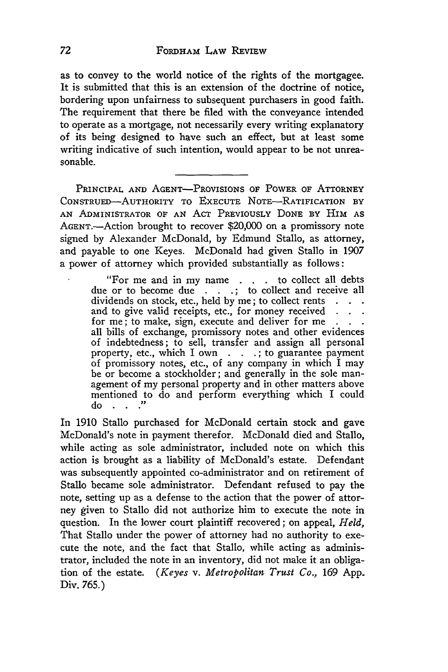as to convey to the world notice of the rights of the mortgagee. It is submitted that this is an extension of the doctrine of notice, bordering upon unfairness to subsequent purchasers in good faith. The requirement that there be filed with the conveyance intended to operate as a mortgage, not necessarily every writing explanatory of its being designed to have such an effect, but at least some writing indicative of such intention, would appear to be not unreasonable.

**PRINCIPAL AND** AGENT-PROVISIONS OF POWER OF ATTORNEY CONSTRUED-AUTHORITY TO EXECUTE NOTE-RATIFICATION BY AN ADMINISTRATOR OF AN ACT PREVIOUSLY DONE BY HIM AS AGENT.—Action brought to recover \$20,000 on a promissory note signed by Alexander McDonald, by Edmund Stallo, as attorney, and payable to one Keyes. McDonald had given Stallo in 1907 a power of attorney which provided substantially as follows:

> "For me and in my name **. .** . to collect all debts due or to become due **.;** to collect and receive all dividends on stock, etc., held by me; to collect rents and to give valid receipts, etc., for money received . . . for me; to make, sign, execute and deliver for me **. . .** all bills of exchange, promissory notes and other evidences of indebtedness; to sell, transfer and assign all personal property, etc., which I own . **.;** to guarantee payment of promissory notes, etc., of any company in which I may be or become a stockholder; and generally in the sole management of my personal property and in other matters above mentioned to do and perform everything which I could do.

In 1910 Stallo purchased for McDonald certain stock and gave McDonald's note in payment therefor. McDonald died and Stallo, while acting as sole administrator, included note on which this action is brought as a liability of McDonald's estate. Defendant was subsequently appointed co-administrator and on retirement of Stallo became sole administrator. Defendant refused to pay the note, setting up as a defense to the action that the power of attorney given to Stallo did not authorize him to execute the note in question. In the lower court plaintiff recovered; on appeal, *Held,* That Stallo under the power of attorney had no authority to execute the note, and the fact that Stallo, while acting as administrator, included the note in an inventory, did not make it an obligation of the estate. *(Keyes v. Metropolitan Trust Co.,* 169 App. Div. 765.)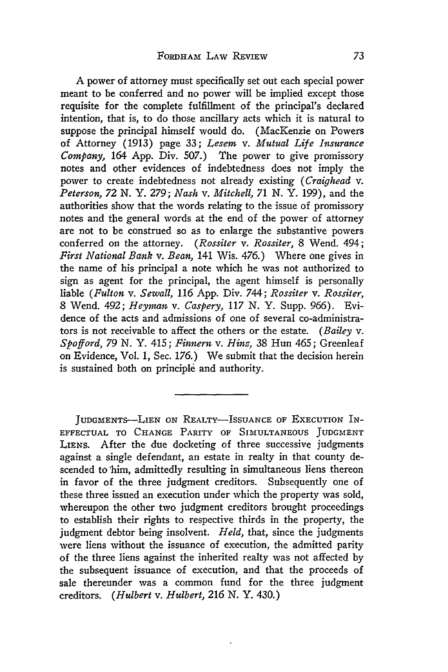A power of attorney must specifically set out each special power meant to be conferred and no power will be implied except those requisite for the complete fulfillment of the principal's declared intention, that is, to do those ancillary acts which it is natural to suppose the principal himself would do. (MacKenzie on Powers of Attorney (1913) page 33; *Lesem v. Mutual Life Insurance Company,* 164 App. Div. 507.) The power to give promissory notes and other evidences of indebtedness does not imply the power to create indebtedness not already existing *(Craighead v. Peterson, 72 N. Y. 279; Nash v. Mitchell, 71 N.* Y. 199), and the authorities show that the words relating to the issue of promissory notes and the general words at the end of the power of attorney are not to be construed so as to enlarge the substantive powers conferred on the attorney. *(Rossiter v. Rossiter,* 8 Wend. 494; *First National Bank v. Bean,* 141 Wis. 476.) Where one gives in the name of his principal a note which he was not authorized to sign as agent for the principal, the agent himself is personally liable *(Fulton v. Sewall,* 116 App. Div. 744; *Rossiter v. Rossiter,* 8 Wend. 492; *Heyran v. Caspery, 117* N. Y. Supp. 966). Evidence of the acts and admissions of one of several co-administrators is not receivable to affect the others or the estate. *(Bailey v. Spofford, 79* N. Y. 415; *Finnern v. Hinz,* 38 Hun 465; Greenleaf on Evidence, Vol. 1, Sec. 176.) We submit that the decision herein is sustained both on principle and authority.

JUDGMENTS-LIEN ON REALTY-ISSUANCE OF EXECUTION IN-EFFECTUAL TO CHANGE PARITY OF SIMULTANEOUS JUDGMENT LIENS. After the due docketing of three successive judgments against a single defendant, an estate in realty in that county descended to 'him, admittedly resulting in simultaneous liens thereon in favor of the three judgment creditors. Subsequently one of these three issued an execution under which the property was sold, whereupon the other two judgment creditors brought proceedings to establish their rights to respective thirds in the property, the judgment debtor being insolvent. *Held,* that, since the judgments were liens without the issuance of execution, the admitted parity of the three liens against the inherited realty was not affected by the subsequent issuance of execution, and that the proceeds of sale thereunder was a common fund for the three judgment creditors. *(Hulbert v. Hulbert, 216* **N.** Y. 430.)